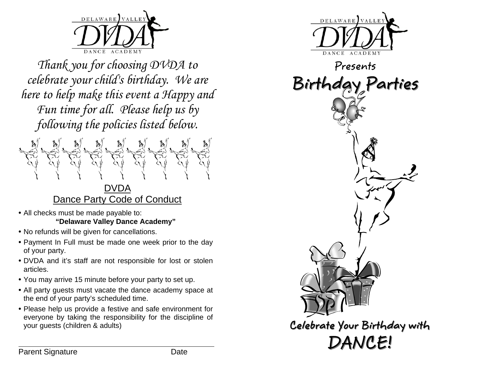

*Thank you for choosing DVDA to celebrate your child's birthday. We are here to help make this event a Happy and Fun time for all. Please help us by following the policies listed below.* 



- All checks must be made payable to: **"Delaware Valley Dance Academy"**
- No refunds will be given for cancellations.
- Payment In Full must be made one week prior to the day of your party.
- DVDA and it's staff are not responsible for lost or stolen articles.
- You may arrive 15 minute before your party to set up.
- All party guests must vacate the dance academy space at the end of your party's scheduled time.
- Please help us provide a festive and safe environment for everyone by taking the responsibility for the discipline of your guests (children & adults)